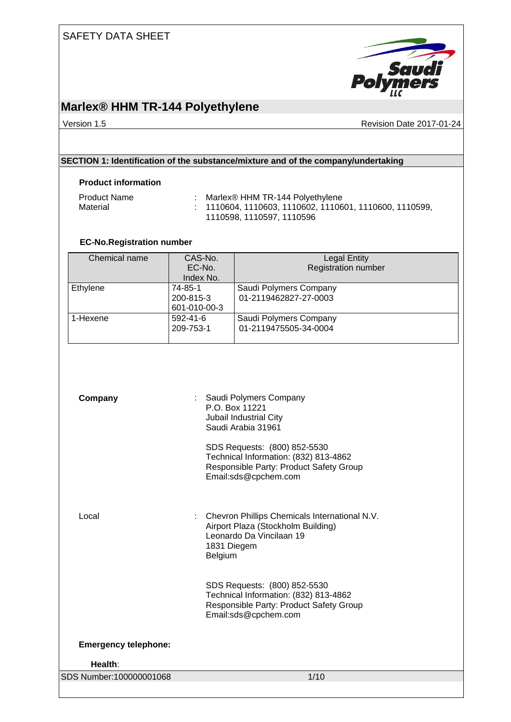

## **Marlex® HHM TR-144 Polyethylene**

Version 1.5 **Accord 2017-01-24** Revision Date 2017-01-24

### **SECTION 1: Identification of the substance/mixture and of the company/undertaking**

#### **Product information**

| <b>Product Name</b> | Marlex® HHM TR-144 Polyethylene                           |
|---------------------|-----------------------------------------------------------|
| Material            | $: 1110604, 1110603, 1110602, 1110601, 1110600, 1110599,$ |
|                     | 1110598.1110597.1110596                                   |

### **EC-No.Registration number**

| Chemical name | CAS-No.        | <b>Legal Entity</b>        |
|---------------|----------------|----------------------------|
|               | EC-No.         | <b>Registration number</b> |
|               | Index No.      |                            |
| Ethylene      | 74-85-1        | Saudi Polymers Company     |
|               | 200-815-3      | 01-2119462827-27-0003      |
|               | 601-010-00-3   |                            |
| 1-Hexene      | $592 - 41 - 6$ | Saudi Polymers Company     |
|               | 209-753-1      | 01-2119475505-34-0004      |
|               |                |                            |

| Company                     | : Saudi Polymers Company<br>P.O. Box 11221<br>Jubail Industrial City<br>Saudi Arabia 31961<br>SDS Requests: (800) 852-5530<br>Technical Information: (832) 813-4862<br>Responsible Party: Product Safety Group<br>Email:sds@cpchem.com |
|-----------------------------|----------------------------------------------------------------------------------------------------------------------------------------------------------------------------------------------------------------------------------------|
| Local                       | Chevron Phillips Chemicals International N.V.<br>Airport Plaza (Stockholm Building)<br>Leonardo Da Vincilaan 19<br>1831 Diegem<br>Belgium                                                                                              |
|                             | SDS Requests: (800) 852-5530<br>Technical Information: (832) 813-4862<br>Responsible Party: Product Safety Group<br>Email:sds@cpchem.com                                                                                               |
| <b>Emergency telephone:</b> |                                                                                                                                                                                                                                        |
| Health:                     |                                                                                                                                                                                                                                        |
| SDS Number:100000001068     | 1/10                                                                                                                                                                                                                                   |
|                             |                                                                                                                                                                                                                                        |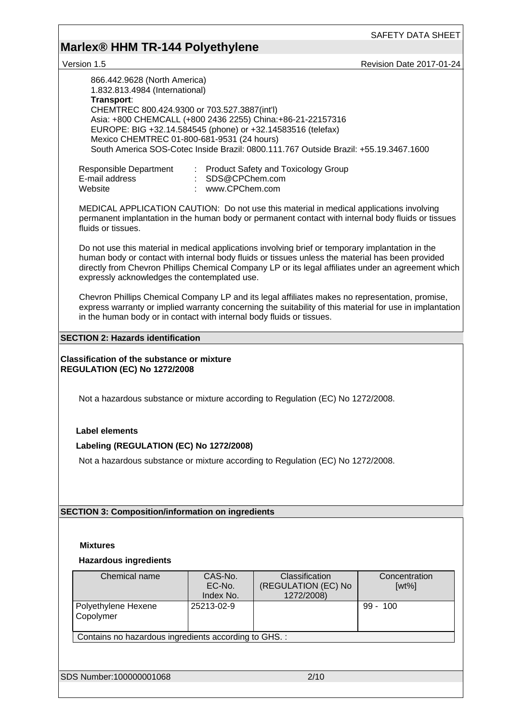# **Marlex® HHM TR-144 Polyethylene**

version 1.5 **Revision Date 2017-01-24** 

| 866.442.9628 (North America)<br>1.832.813.4984 (International)<br>Transport:<br>CHEMTREC 800.424.9300 or 703.527.3887(int'l)<br>Asia: +800 CHEMCALL (+800 2436 2255) China: +86-21-22157316<br>EUROPE: BIG +32.14.584545 (phone) or +32.14583516 (telefax)<br>Mexico CHEMTREC 01-800-681-9531 (24 hours)                                                     |                                                                                                                                                                                                                                                                                      | South America SOS-Cotec Inside Brazil: 0800.111.767 Outside Brazil: +55.19.3467.1600 |                           |  |  |  |  |
|--------------------------------------------------------------------------------------------------------------------------------------------------------------------------------------------------------------------------------------------------------------------------------------------------------------------------------------------------------------|--------------------------------------------------------------------------------------------------------------------------------------------------------------------------------------------------------------------------------------------------------------------------------------|--------------------------------------------------------------------------------------|---------------------------|--|--|--|--|
| Responsible Department<br>E-mail address<br>Website                                                                                                                                                                                                                                                                                                          | SDS@CPChem.com<br>: www.CPChem.com                                                                                                                                                                                                                                                   | <b>Product Safety and Toxicology Group</b>                                           |                           |  |  |  |  |
| MEDICAL APPLICATION CAUTION: Do not use this material in medical applications involving<br>permanent implantation in the human body or permanent contact with internal body fluids or tissues<br>fluids or tissues.                                                                                                                                          |                                                                                                                                                                                                                                                                                      |                                                                                      |                           |  |  |  |  |
| Do not use this material in medical applications involving brief or temporary implantation in the<br>human body or contact with internal body fluids or tissues unless the material has been provided<br>directly from Chevron Phillips Chemical Company LP or its legal affiliates under an agreement which<br>expressly acknowledges the contemplated use. |                                                                                                                                                                                                                                                                                      |                                                                                      |                           |  |  |  |  |
|                                                                                                                                                                                                                                                                                                                                                              | Chevron Phillips Chemical Company LP and its legal affiliates makes no representation, promise,<br>express warranty or implied warranty concerning the suitability of this material for use in implantation<br>in the human body or in contact with internal body fluids or tissues. |                                                                                      |                           |  |  |  |  |
| <b>SECTION 2: Hazards identification</b>                                                                                                                                                                                                                                                                                                                     |                                                                                                                                                                                                                                                                                      |                                                                                      |                           |  |  |  |  |
| <b>Classification of the substance or mixture</b><br><b>REGULATION (EC) No 1272/2008</b>                                                                                                                                                                                                                                                                     |                                                                                                                                                                                                                                                                                      |                                                                                      |                           |  |  |  |  |
| Not a hazardous substance or mixture according to Regulation (EC) No 1272/2008.                                                                                                                                                                                                                                                                              |                                                                                                                                                                                                                                                                                      |                                                                                      |                           |  |  |  |  |
| <b>Label elements</b>                                                                                                                                                                                                                                                                                                                                        |                                                                                                                                                                                                                                                                                      |                                                                                      |                           |  |  |  |  |
|                                                                                                                                                                                                                                                                                                                                                              |                                                                                                                                                                                                                                                                                      |                                                                                      |                           |  |  |  |  |
| Labeling (REGULATION (EC) No 1272/2008)                                                                                                                                                                                                                                                                                                                      |                                                                                                                                                                                                                                                                                      |                                                                                      |                           |  |  |  |  |
| Not a hazardous substance or mixture according to Regulation (EC) No 1272/2008.                                                                                                                                                                                                                                                                              |                                                                                                                                                                                                                                                                                      |                                                                                      |                           |  |  |  |  |
|                                                                                                                                                                                                                                                                                                                                                              |                                                                                                                                                                                                                                                                                      |                                                                                      |                           |  |  |  |  |
|                                                                                                                                                                                                                                                                                                                                                              |                                                                                                                                                                                                                                                                                      |                                                                                      |                           |  |  |  |  |
|                                                                                                                                                                                                                                                                                                                                                              |                                                                                                                                                                                                                                                                                      |                                                                                      |                           |  |  |  |  |
| <b>SECTION 3: Composition/information on ingredients</b>                                                                                                                                                                                                                                                                                                     |                                                                                                                                                                                                                                                                                      |                                                                                      |                           |  |  |  |  |
|                                                                                                                                                                                                                                                                                                                                                              |                                                                                                                                                                                                                                                                                      |                                                                                      |                           |  |  |  |  |
|                                                                                                                                                                                                                                                                                                                                                              |                                                                                                                                                                                                                                                                                      |                                                                                      |                           |  |  |  |  |
| <b>Mixtures</b>                                                                                                                                                                                                                                                                                                                                              |                                                                                                                                                                                                                                                                                      |                                                                                      |                           |  |  |  |  |
| <b>Hazardous ingredients</b>                                                                                                                                                                                                                                                                                                                                 |                                                                                                                                                                                                                                                                                      |                                                                                      |                           |  |  |  |  |
| Chemical name                                                                                                                                                                                                                                                                                                                                                | CAS-No.<br>EC-No.<br>Index No.                                                                                                                                                                                                                                                       | Classification<br>(REGULATION (EC) No<br>1272/2008)                                  | Concentration<br>$[wt\%]$ |  |  |  |  |
| Polyethylene Hexene<br>Copolymer                                                                                                                                                                                                                                                                                                                             | 25213-02-9                                                                                                                                                                                                                                                                           |                                                                                      | $99 - 100$                |  |  |  |  |
| Contains no hazardous ingredients according to GHS. :                                                                                                                                                                                                                                                                                                        |                                                                                                                                                                                                                                                                                      |                                                                                      |                           |  |  |  |  |
|                                                                                                                                                                                                                                                                                                                                                              |                                                                                                                                                                                                                                                                                      |                                                                                      |                           |  |  |  |  |
|                                                                                                                                                                                                                                                                                                                                                              |                                                                                                                                                                                                                                                                                      |                                                                                      |                           |  |  |  |  |
| SDS Number:100000001068                                                                                                                                                                                                                                                                                                                                      |                                                                                                                                                                                                                                                                                      | 2/10                                                                                 |                           |  |  |  |  |
|                                                                                                                                                                                                                                                                                                                                                              |                                                                                                                                                                                                                                                                                      |                                                                                      |                           |  |  |  |  |
|                                                                                                                                                                                                                                                                                                                                                              |                                                                                                                                                                                                                                                                                      |                                                                                      |                           |  |  |  |  |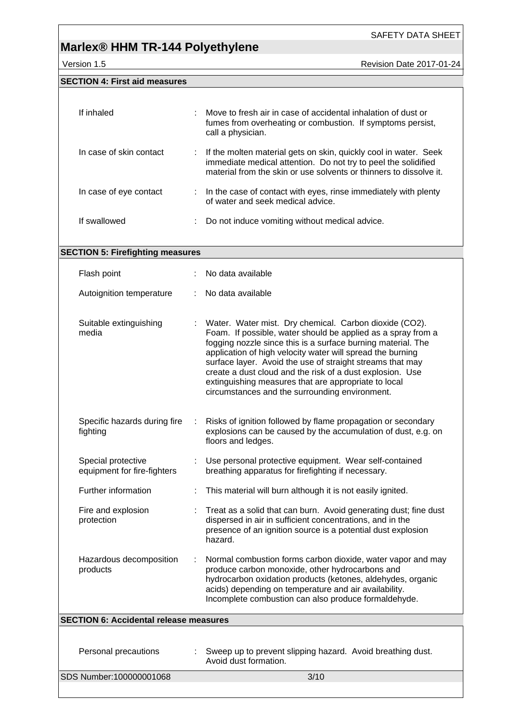## **Marlex® HHM TR-144 Polyethylene**

Version 1.5 **Accord 2017-01-24** Revision Date 2017-01-24

| <b>SECTION 4: First aid measures</b> |                                                                                                                                                                                                            |
|--------------------------------------|------------------------------------------------------------------------------------------------------------------------------------------------------------------------------------------------------------|
| If inhaled                           | : Move to fresh air in case of accidental inhalation of dust or<br>fumes from overheating or combustion. If symptoms persist,<br>call a physician.                                                         |
| In case of skin contact              | : If the molten material gets on skin, quickly cool in water. Seek<br>immediate medical attention. Do not try to peel the solidified<br>material from the skin or use solvents or thinners to dissolve it. |
| In case of eye contact               | : In the case of contact with eyes, rinse immediately with plenty<br>of water and seek medical advice.                                                                                                     |
| If swallowed                         | Do not induce vomiting without medical advice.                                                                                                                                                             |

| No data available<br>Water. Water mist. Dry chemical. Carbon dioxide (CO2).<br>Foam. If possible, water should be applied as a spray from a<br>fogging nozzle since this is a surface burning material. The<br>application of high velocity water will spread the burning<br>surface layer. Avoid the use of straight streams that may<br>create a dust cloud and the risk of a dust explosion. Use<br>extinguishing measures that are appropriate to local<br>circumstances and the surrounding environment.<br>Risks of ignition followed by flame propagation or secondary<br>explosions can be caused by the accumulation of dust, e.g. on<br>floors and ledges.<br>Use personal protective equipment. Wear self-contained |  |  |  |
|--------------------------------------------------------------------------------------------------------------------------------------------------------------------------------------------------------------------------------------------------------------------------------------------------------------------------------------------------------------------------------------------------------------------------------------------------------------------------------------------------------------------------------------------------------------------------------------------------------------------------------------------------------------------------------------------------------------------------------|--|--|--|
|                                                                                                                                                                                                                                                                                                                                                                                                                                                                                                                                                                                                                                                                                                                                |  |  |  |
|                                                                                                                                                                                                                                                                                                                                                                                                                                                                                                                                                                                                                                                                                                                                |  |  |  |
|                                                                                                                                                                                                                                                                                                                                                                                                                                                                                                                                                                                                                                                                                                                                |  |  |  |
| breathing apparatus for firefighting if necessary.                                                                                                                                                                                                                                                                                                                                                                                                                                                                                                                                                                                                                                                                             |  |  |  |
| This material will burn although it is not easily ignited.<br>÷                                                                                                                                                                                                                                                                                                                                                                                                                                                                                                                                                                                                                                                                |  |  |  |
| Treat as a solid that can burn. Avoid generating dust; fine dust<br>dispersed in air in sufficient concentrations, and in the<br>presence of an ignition source is a potential dust explosion<br>hazard.                                                                                                                                                                                                                                                                                                                                                                                                                                                                                                                       |  |  |  |
| Normal combustion forms carbon dioxide, water vapor and may<br>produce carbon monoxide, other hydrocarbons and<br>hydrocarbon oxidation products (ketones, aldehydes, organic<br>acids) depending on temperature and air availability.<br>Incomplete combustion can also produce formaldehyde.                                                                                                                                                                                                                                                                                                                                                                                                                                 |  |  |  |
| <b>SECTION 6: Accidental release measures</b>                                                                                                                                                                                                                                                                                                                                                                                                                                                                                                                                                                                                                                                                                  |  |  |  |
|                                                                                                                                                                                                                                                                                                                                                                                                                                                                                                                                                                                                                                                                                                                                |  |  |  |

SDS Number:100000001068 3/10 Avoid dust formation.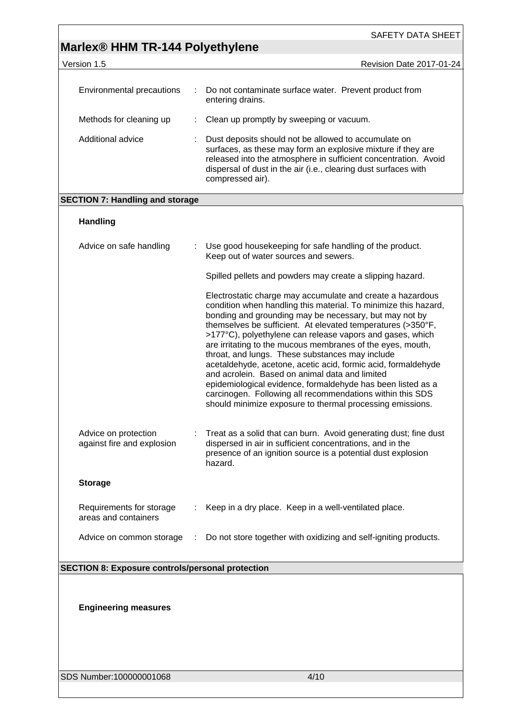|                                                         |   | SAFETY DATA SHEET                                                                                                                                                                                                                                                                                                                                                                                                                                                                                                                                                                                                                                                                                                                                |
|---------------------------------------------------------|---|--------------------------------------------------------------------------------------------------------------------------------------------------------------------------------------------------------------------------------------------------------------------------------------------------------------------------------------------------------------------------------------------------------------------------------------------------------------------------------------------------------------------------------------------------------------------------------------------------------------------------------------------------------------------------------------------------------------------------------------------------|
| Marlex <sup>®</sup> HHM TR-144 Polyethylene             |   |                                                                                                                                                                                                                                                                                                                                                                                                                                                                                                                                                                                                                                                                                                                                                  |
| Version 1.5                                             |   | Revision Date 2017-01-24                                                                                                                                                                                                                                                                                                                                                                                                                                                                                                                                                                                                                                                                                                                         |
| <b>Environmental precautions</b>                        | ÷ | Do not contaminate surface water. Prevent product from<br>entering drains.                                                                                                                                                                                                                                                                                                                                                                                                                                                                                                                                                                                                                                                                       |
| Methods for cleaning up                                 | ÷ | Clean up promptly by sweeping or vacuum.                                                                                                                                                                                                                                                                                                                                                                                                                                                                                                                                                                                                                                                                                                         |
| Additional advice                                       |   | Dust deposits should not be allowed to accumulate on<br>surfaces, as these may form an explosive mixture if they are<br>released into the atmosphere in sufficient concentration. Avoid<br>dispersal of dust in the air (i.e., clearing dust surfaces with<br>compressed air).                                                                                                                                                                                                                                                                                                                                                                                                                                                                   |
| <b>SECTION 7: Handling and storage</b>                  |   |                                                                                                                                                                                                                                                                                                                                                                                                                                                                                                                                                                                                                                                                                                                                                  |
| <b>Handling</b>                                         |   |                                                                                                                                                                                                                                                                                                                                                                                                                                                                                                                                                                                                                                                                                                                                                  |
| Advice on safe handling                                 | ÷ | Use good housekeeping for safe handling of the product.<br>Keep out of water sources and sewers.                                                                                                                                                                                                                                                                                                                                                                                                                                                                                                                                                                                                                                                 |
|                                                         |   | Spilled pellets and powders may create a slipping hazard.                                                                                                                                                                                                                                                                                                                                                                                                                                                                                                                                                                                                                                                                                        |
|                                                         |   | Electrostatic charge may accumulate and create a hazardous<br>condition when handling this material. To minimize this hazard,<br>bonding and grounding may be necessary, but may not by<br>themselves be sufficient. At elevated temperatures (>350°F,<br>>177°C), polyethylene can release vapors and gases, which<br>are irritating to the mucous membranes of the eyes, mouth,<br>throat, and lungs. These substances may include<br>acetaldehyde, acetone, acetic acid, formic acid, formaldehyde<br>and acrolein. Based on animal data and limited<br>epidemiological evidence, formaldehyde has been listed as a<br>carcinogen. Following all recommendations within this SDS<br>should minimize exposure to thermal processing emissions. |
| Advice on protection<br>against fire and explosion      |   | Treat as a solid that can burn. Avoid generating dust; fine dust<br>dispersed in air in sufficient concentrations, and in the<br>presence of an ignition source is a potential dust explosion<br>hazard.                                                                                                                                                                                                                                                                                                                                                                                                                                                                                                                                         |
| <b>Storage</b>                                          |   |                                                                                                                                                                                                                                                                                                                                                                                                                                                                                                                                                                                                                                                                                                                                                  |
| Requirements for storage<br>areas and containers        |   | Keep in a dry place. Keep in a well-ventilated place.                                                                                                                                                                                                                                                                                                                                                                                                                                                                                                                                                                                                                                                                                            |
| Advice on common storage                                | ÷ | Do not store together with oxidizing and self-igniting products.                                                                                                                                                                                                                                                                                                                                                                                                                                                                                                                                                                                                                                                                                 |
|                                                         |   |                                                                                                                                                                                                                                                                                                                                                                                                                                                                                                                                                                                                                                                                                                                                                  |
| <b>SECTION 8: Exposure controls/personal protection</b> |   |                                                                                                                                                                                                                                                                                                                                                                                                                                                                                                                                                                                                                                                                                                                                                  |
|                                                         |   |                                                                                                                                                                                                                                                                                                                                                                                                                                                                                                                                                                                                                                                                                                                                                  |
| <b>Engineering measures</b>                             |   |                                                                                                                                                                                                                                                                                                                                                                                                                                                                                                                                                                                                                                                                                                                                                  |
|                                                         |   |                                                                                                                                                                                                                                                                                                                                                                                                                                                                                                                                                                                                                                                                                                                                                  |

SDS Number:100000001068 4/10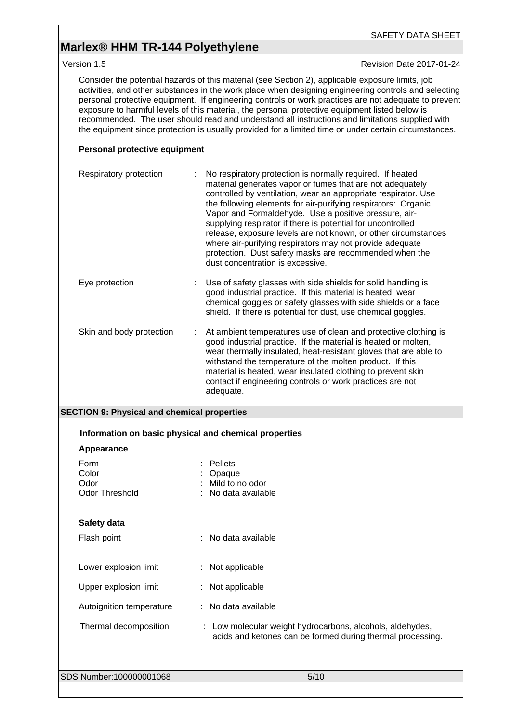## **Marlex® HHM TR-144 Polyethylene**

Version 1.5 **Accord 2017-01-24** Revision Date 2017-01-24

Consider the potential hazards of this material (see Section 2), applicable exposure limits, job activities, and other substances in the work place when designing engineering controls and selecting personal protective equipment. If engineering controls or work practices are not adequate to prevent exposure to harmful levels of this material, the personal protective equipment listed below is recommended. The user should read and understand all instructions and limitations supplied with the equipment since protection is usually provided for a limited time or under certain circumstances.

#### **Personal protective equipment**

| Respiratory protection   | No respiratory protection is normally required. If heated<br>material generates vapor or fumes that are not adequately<br>controlled by ventilation, wear an appropriate respirator. Use<br>the following elements for air-purifying respirators: Organic<br>Vapor and Formaldehyde. Use a positive pressure, air-<br>supplying respirator if there is potential for uncontrolled<br>release, exposure levels are not known, or other circumstances<br>where air-purifying respirators may not provide adequate<br>protection. Dust safety masks are recommended when the<br>dust concentration is excessive. |
|--------------------------|---------------------------------------------------------------------------------------------------------------------------------------------------------------------------------------------------------------------------------------------------------------------------------------------------------------------------------------------------------------------------------------------------------------------------------------------------------------------------------------------------------------------------------------------------------------------------------------------------------------|
| Eye protection           | Use of safety glasses with side shields for solid handling is<br>good industrial practice. If this material is heated, wear<br>chemical goggles or safety glasses with side shields or a face<br>shield. If there is potential for dust, use chemical goggles.                                                                                                                                                                                                                                                                                                                                                |
| Skin and body protection | At ambient temperatures use of clean and protective clothing is<br>good industrial practice. If the material is heated or molten,<br>wear thermally insulated, heat-resistant gloves that are able to<br>withstand the temperature of the molten product. If this<br>material is heated, wear insulated clothing to prevent skin<br>contact if engineering controls or work practices are not<br>adequate.                                                                                                                                                                                                    |

#### **SECTION 9: Physical and chemical properties**

| Information on basic physical and chemical properties |                                                                                                                         |
|-------------------------------------------------------|-------------------------------------------------------------------------------------------------------------------------|
| Appearance                                            |                                                                                                                         |
| Form<br>Color<br>Odor<br><b>Odor Threshold</b>        | <b>Pellets</b><br>Opaque<br>Mild to no odor<br>No data available                                                        |
| Safety data                                           |                                                                                                                         |
| Flash point                                           | : No data available                                                                                                     |
| Lower explosion limit                                 | : Not applicable                                                                                                        |
| Upper explosion limit                                 | : Not applicable                                                                                                        |
| Autoignition temperature                              | : No data available                                                                                                     |
| Thermal decomposition                                 | : Low molecular weight hydrocarbons, alcohols, aldehydes,<br>acids and ketones can be formed during thermal processing. |
| SDS Number:100000001068                               | 5/10                                                                                                                    |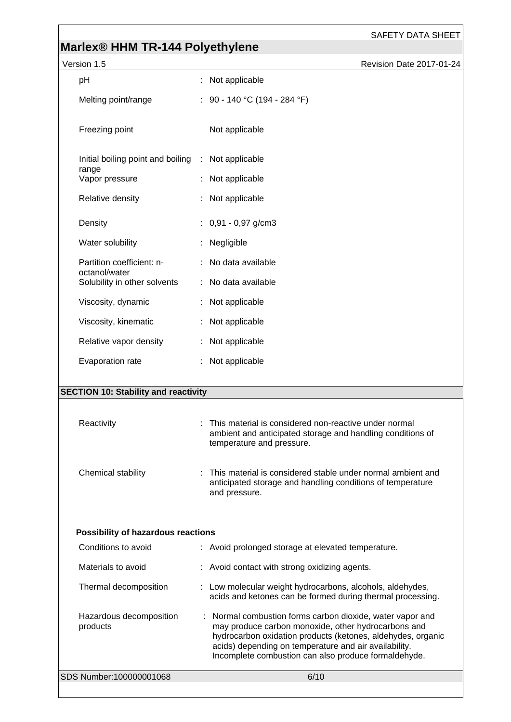# **Marlex® HHM TR-144 Polyethylene**

| Version 1.5                                   | Revision Date 2017-01-24                                                                                                                         |
|-----------------------------------------------|--------------------------------------------------------------------------------------------------------------------------------------------------|
| pH                                            | : Not applicable                                                                                                                                 |
| Melting point/range                           | : 90 - 140 °C (194 - 284 °F)                                                                                                                     |
| Freezing point                                | Not applicable                                                                                                                                   |
| Initial boiling point and boiling<br>range    | : Not applicable                                                                                                                                 |
| Vapor pressure                                | : Not applicable                                                                                                                                 |
| Relative density                              | : Not applicable                                                                                                                                 |
| Density                                       | $: 0,91 - 0,97$ g/cm3                                                                                                                            |
| Water solubility                              | Negligible                                                                                                                                       |
| Partition coefficient: n-                     | : No data available                                                                                                                              |
| octanol/water<br>Solubility in other solvents | : No data available                                                                                                                              |
| Viscosity, dynamic                            | : Not applicable                                                                                                                                 |
| Viscosity, kinematic                          | : Not applicable                                                                                                                                 |
| Relative vapor density                        | : Not applicable                                                                                                                                 |
| Evaporation rate                              | : Not applicable                                                                                                                                 |
|                                               |                                                                                                                                                  |
| <b>SECTION 10: Stability and reactivity</b>   |                                                                                                                                                  |
| Reactivity                                    | This material is considered non-reactive under normal<br>ambient and anticipated storage and handling conditions of<br>temperature and pressure. |

| Chemical stability<br>: This material is considered stable under normal ambient and<br>anticipated storage and handling conditions of temperature<br>and pressure. |
|--------------------------------------------------------------------------------------------------------------------------------------------------------------------|
|--------------------------------------------------------------------------------------------------------------------------------------------------------------------|

### **Possibility of hazardous reactions**

| SDS Number:100000001068             | 6/10                                                                                                                                                                                                                                                                                             |
|-------------------------------------|--------------------------------------------------------------------------------------------------------------------------------------------------------------------------------------------------------------------------------------------------------------------------------------------------|
| Hazardous decomposition<br>products | : Normal combustion forms carbon dioxide, water vapor and<br>may produce carbon monoxide, other hydrocarbons and<br>hydrocarbon oxidation products (ketones, aldehydes, organic<br>acids) depending on temperature and air availability.<br>Incomplete combustion can also produce formaldehyde. |
| Thermal decomposition               | : Low molecular weight hydrocarbons, alcohols, aldehydes,<br>acids and ketones can be formed during thermal processing.                                                                                                                                                                          |
| Materials to avoid                  | : Avoid contact with strong oxidizing agents.                                                                                                                                                                                                                                                    |
| Conditions to avoid                 | : Avoid prolonged storage at elevated temperature.                                                                                                                                                                                                                                               |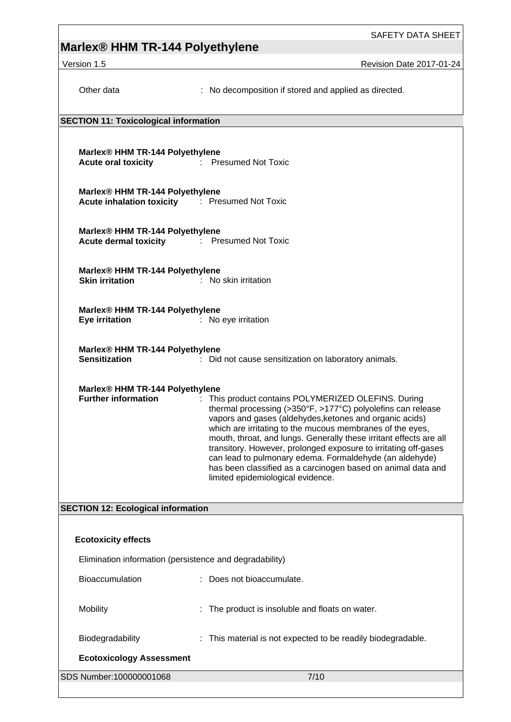# **Marlex® HHM TR-144 Polyethylene**

Version 1.5 **Revision Date 2017-01-24** 

| Other data                                                                                              | : No decomposition if stored and applied as directed.                                                                                                                                                                                                                                                                                                                                                                                                                                                                                               |  |  |  |  |  |
|---------------------------------------------------------------------------------------------------------|-----------------------------------------------------------------------------------------------------------------------------------------------------------------------------------------------------------------------------------------------------------------------------------------------------------------------------------------------------------------------------------------------------------------------------------------------------------------------------------------------------------------------------------------------------|--|--|--|--|--|
|                                                                                                         | <b>SECTION 11: Toxicological information</b>                                                                                                                                                                                                                                                                                                                                                                                                                                                                                                        |  |  |  |  |  |
| Marlex® HHM TR-144 Polyethylene<br>Acute oral toxicity <b>Exercise Exercise Secure Acute oral toxic</b> |                                                                                                                                                                                                                                                                                                                                                                                                                                                                                                                                                     |  |  |  |  |  |
| Marlex® HHM TR-144 Polyethylene<br>Acute inhalation toxicity : Presumed Not Toxic                       |                                                                                                                                                                                                                                                                                                                                                                                                                                                                                                                                                     |  |  |  |  |  |
| Marlex® HHM TR-144 Polyethylene<br><b>Acute dermal toxicity</b> : Presumed Not Toxic                    |                                                                                                                                                                                                                                                                                                                                                                                                                                                                                                                                                     |  |  |  |  |  |
| Marlex® HHM TR-144 Polyethylene<br><b>Skin irritation</b>                                               | : No skin irritation                                                                                                                                                                                                                                                                                                                                                                                                                                                                                                                                |  |  |  |  |  |
| Marlex® HHM TR-144 Polyethylene<br><b>Eye irritation</b>                                                | : No eye irritation                                                                                                                                                                                                                                                                                                                                                                                                                                                                                                                                 |  |  |  |  |  |
| Marlex® HHM TR-144 Polyethylene<br><b>Sensitization</b>                                                 | : Did not cause sensitization on laboratory animals.                                                                                                                                                                                                                                                                                                                                                                                                                                                                                                |  |  |  |  |  |
| Marlex® HHM TR-144 Polyethylene<br><b>Further information</b>                                           | : This product contains POLYMERIZED OLEFINS. During<br>thermal processing (>350°F, >177°C) polyolefins can release<br>vapors and gases (aldehydes, ketones and organic acids)<br>which are irritating to the mucous membranes of the eyes,<br>mouth, throat, and lungs. Generally these irritant effects are all<br>transitory. However, prolonged exposure to irritating off-gases<br>can lead to pulmonary edema. Formaldehyde (an aldehyde)<br>has been classified as a carcinogen based on animal data and<br>limited epidemiological evidence. |  |  |  |  |  |
| <b>SECTION 12: Ecological information</b>                                                               |                                                                                                                                                                                                                                                                                                                                                                                                                                                                                                                                                     |  |  |  |  |  |
|                                                                                                         |                                                                                                                                                                                                                                                                                                                                                                                                                                                                                                                                                     |  |  |  |  |  |
| <b>Ecotoxicity effects</b>                                                                              |                                                                                                                                                                                                                                                                                                                                                                                                                                                                                                                                                     |  |  |  |  |  |
| Elimination information (persistence and degradability)                                                 |                                                                                                                                                                                                                                                                                                                                                                                                                                                                                                                                                     |  |  |  |  |  |
| Bioaccumulation                                                                                         | : Does not bioaccumulate.                                                                                                                                                                                                                                                                                                                                                                                                                                                                                                                           |  |  |  |  |  |
| Mobility                                                                                                | The product is insoluble and floats on water.                                                                                                                                                                                                                                                                                                                                                                                                                                                                                                       |  |  |  |  |  |
| Biodegradability                                                                                        | : This material is not expected to be readily biodegradable.                                                                                                                                                                                                                                                                                                                                                                                                                                                                                        |  |  |  |  |  |
| <b>Ecotoxicology Assessment</b>                                                                         |                                                                                                                                                                                                                                                                                                                                                                                                                                                                                                                                                     |  |  |  |  |  |
| SDS Number:100000001068                                                                                 | 7/10                                                                                                                                                                                                                                                                                                                                                                                                                                                                                                                                                |  |  |  |  |  |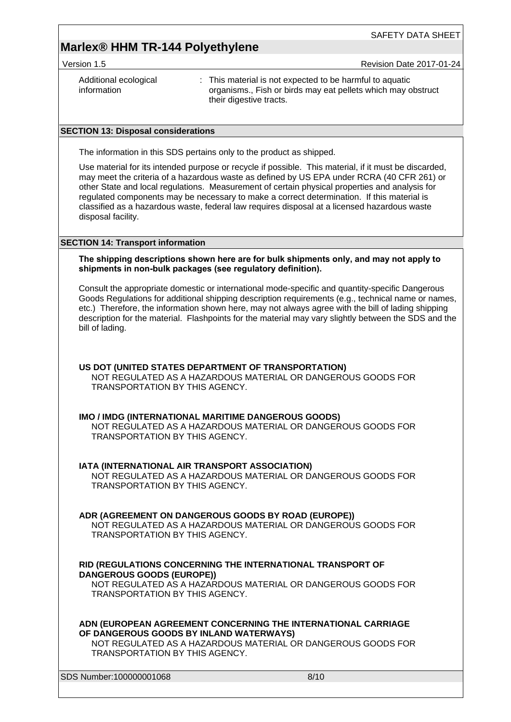## **Marlex® HHM TR-144 Polyethylene**

Version 1.5 **All 2017-01-24** Revision Date 2017-01-24

| Additional ecological<br>information | : This material is not expected to be harmful to aquatic<br>organisms., Fish or birds may eat pellets which may obstruct |
|--------------------------------------|--------------------------------------------------------------------------------------------------------------------------|
|                                      | their digestive tracts.                                                                                                  |

#### **SECTION 13: Disposal considerations**

The information in this SDS pertains only to the product as shipped.

Use material for its intended purpose or recycle if possible. This material, if it must be discarded, may meet the criteria of a hazardous waste as defined by US EPA under RCRA (40 CFR 261) or other State and local regulations. Measurement of certain physical properties and analysis for regulated components may be necessary to make a correct determination. If this material is classified as a hazardous waste, federal law requires disposal at a licensed hazardous waste disposal facility.

#### **SECTION 14: Transport information**

#### **The shipping descriptions shown here are for bulk shipments only, and may not apply to shipments in non-bulk packages (see regulatory definition).**

Consult the appropriate domestic or international mode-specific and quantity-specific Dangerous Goods Regulations for additional shipping description requirements (e.g., technical name or names, etc.) Therefore, the information shown here, may not always agree with the bill of lading shipping description for the material. Flashpoints for the material may vary slightly between the SDS and the bill of lading.

#### **US DOT (UNITED STATES DEPARTMENT OF TRANSPORTATION)**

NOT REGULATED AS A HAZARDOUS MATERIAL OR DANGEROUS GOODS FOR TRANSPORTATION BY THIS AGENCY.

#### **IMO / IMDG (INTERNATIONAL MARITIME DANGEROUS GOODS)**

NOT REGULATED AS A HAZARDOUS MATERIAL OR DANGEROUS GOODS FOR TRANSPORTATION BY THIS AGENCY.

#### **IATA (INTERNATIONAL AIR TRANSPORT ASSOCIATION)**

NOT REGULATED AS A HAZARDOUS MATERIAL OR DANGEROUS GOODS FOR TRANSPORTATION BY THIS AGENCY.

#### **ADR (AGREEMENT ON DANGEROUS GOODS BY ROAD (EUROPE))**

NOT REGULATED AS A HAZARDOUS MATERIAL OR DANGEROUS GOODS FOR TRANSPORTATION BY THIS AGENCY.

#### **RID (REGULATIONS CONCERNING THE INTERNATIONAL TRANSPORT OF DANGEROUS GOODS (EUROPE))**

NOT REGULATED AS A HAZARDOUS MATERIAL OR DANGEROUS GOODS FOR TRANSPORTATION BY THIS AGENCY.

**ADN (EUROPEAN AGREEMENT CONCERNING THE INTERNATIONAL CARRIAGE OF DANGEROUS GOODS BY INLAND WATERWAYS)**

NOT REGULATED AS A HAZARDOUS MATERIAL OR DANGEROUS GOODS FOR TRANSPORTATION BY THIS AGENCY.

SDS Number:100000001068 8/10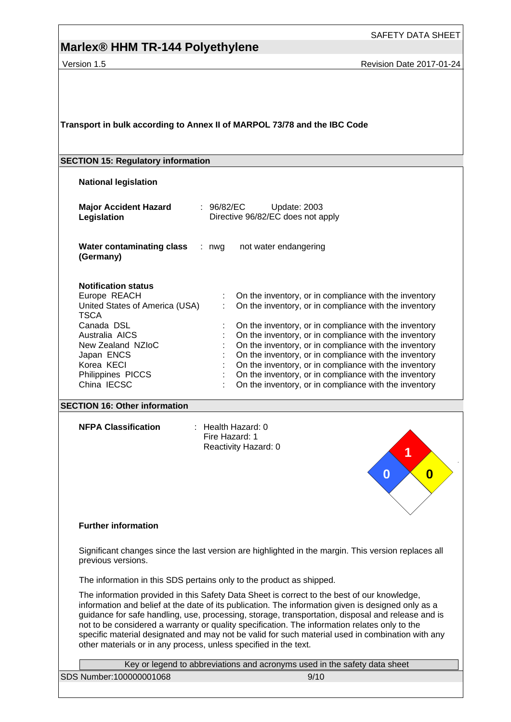## **Marlex® HHM TR-144 Polyethylene**

SAFETY DATA SHEET

Version 1.5 **Accord 2017-01-24** Revision Date 2017-01-24

**Transport in bulk according to Annex II of MARPOL 73/78 and the IBC Code**

#### **SECTION 15: Regulatory information**

**National legislation**

| <b>Major Accident Hazard</b><br>Legislation                                                                                                                                                                      | : 96/82/EC<br>Update: 2003<br>Directive 96/82/EC does not apply                                                                                                                                                                                                                                                                                                                                                                                                                                                               |
|------------------------------------------------------------------------------------------------------------------------------------------------------------------------------------------------------------------|-------------------------------------------------------------------------------------------------------------------------------------------------------------------------------------------------------------------------------------------------------------------------------------------------------------------------------------------------------------------------------------------------------------------------------------------------------------------------------------------------------------------------------|
| Water contaminating class<br>(Germany)                                                                                                                                                                           | not water endangering<br>: nwa                                                                                                                                                                                                                                                                                                                                                                                                                                                                                                |
| <b>Notification status</b><br>Europe REACH<br>United States of America (USA)<br><b>TSCA</b><br>Canada DSL<br>Australia AICS<br>New Zealand NZIoC<br>Japan ENCS<br>Korea KECI<br>Philippines PICCS<br>China IECSC | On the inventory, or in compliance with the inventory<br>On the inventory, or in compliance with the inventory<br>On the inventory, or in compliance with the inventory<br>On the inventory, or in compliance with the inventory<br>On the inventory, or in compliance with the inventory<br>On the inventory, or in compliance with the inventory<br>On the inventory, or in compliance with the inventory<br>On the inventory, or in compliance with the inventory<br>On the inventory, or in compliance with the inventory |

#### **SECTION 16: Other information**

**NFPA Classification** : Health Hazard: 0

Fire Hazard: 1 Reactivity Hazard: 0



#### **Further information**

Significant changes since the last version are highlighted in the margin. This version replaces all previous versions.

The information in this SDS pertains only to the product as shipped.

The information provided in this Safety Data Sheet is correct to the best of our knowledge, information and belief at the date of its publication. The information given is designed only as a guidance for safe handling, use, processing, storage, transportation, disposal and release and is not to be considered a warranty or quality specification. The information relates only to the specific material designated and may not be valid for such material used in combination with any other materials or in any process, unless specified in the text.

|                         | Key or legend to abbreviations and acronyms used in the safety data sheet |      |  |  |  |  |
|-------------------------|---------------------------------------------------------------------------|------|--|--|--|--|
| SDS Number:100000001068 |                                                                           | 9/10 |  |  |  |  |
|                         |                                                                           |      |  |  |  |  |